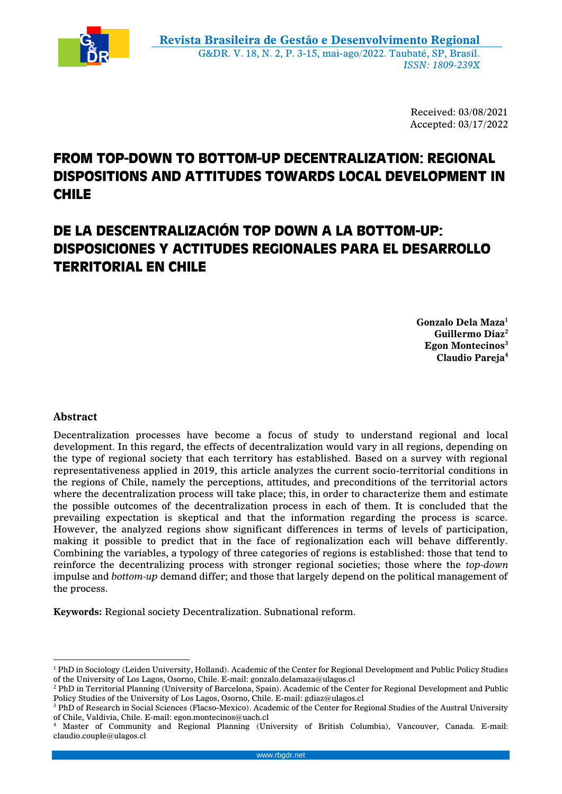

Received: 03/08/2021 Accepted: 03/17/2022

# **FROM TOP-DOWN TO BOTTOM-UP DECENTRALIZATION: REGIONAL DISPOSITIONS AND ATTITUDES TOWARDS LOCAL DEVELOPMENT IN CHILE**

# **DE LA DESCENTRALIZACIÓN TOP DOWN A LA BOTTOM-UP: DISPOSICIONES Y ACTITUDES REGIONALES PARA EL DESARROLLO TERRITORIAL EN CHILE**

**Gonzalo Dela Maza<sup>1</sup> Guillermo Diaz<sup>2</sup> Egon Montecinos<sup>3</sup> Claudio Pareja<sup>4</sup>**

# **Abstract**

<u>.</u>

Decentralization processes have become a focus of study to understand regional and local development. In this regard, the effects of decentralization would vary in all regions, depending on the type of regional society that each territory has established. Based on a survey with regional representativeness applied in 2019, this article analyzes the current socio-territorial conditions in the regions of Chile, namely the perceptions, attitudes, and preconditions of the territorial actors where the decentralization process will take place; this, in order to characterize them and estimate the possible outcomes of the decentralization process in each of them. It is concluded that the prevailing expectation is skeptical and that the information regarding the process is scarce. However, the analyzed regions show significant differences in terms of levels of participation, making it possible to predict that in the face of regionalization each will behave differently. Combining the variables, a typology of three categories of regions is established: those that tend to reinforce the decentralizing process with stronger regional societies; those where the *top-down* impulse and *bottom-up* demand differ; and those that largely depend on the political management of the process.

**Keywords:** Regional society Decentralization. Subnational reform.

<sup>&</sup>lt;sup>1</sup> PhD in Sociology (Leiden University, Holland). Academic of the Center for Regional Development and Public Policy Studies of the University of Los Lagos, Osorno, Chile. E-mail: gonzalo.delamaza@ulagos.cl

<sup>2</sup> PhD in Territorial Planning (University of Barcelona, Spain). Academic of the Center for Regional Development and Public Policy Studies of the University of Los Lagos, Osorno, Chile. E-mail: gdiaz@ulagos.cl

<sup>&</sup>lt;sup>3</sup> PhD of Research in Social Sciences (Flacso-Mexico). Academic of the Center for Regional Studies of the Austral University of Chile, Valdivia, Chile. E-mail: egon.montecinos@uach.cl

<sup>4</sup> Master of Community and Regional Planning (University of British Columbia), Vancouver, Canada. E-mail: claudio.couple@ulagos.cl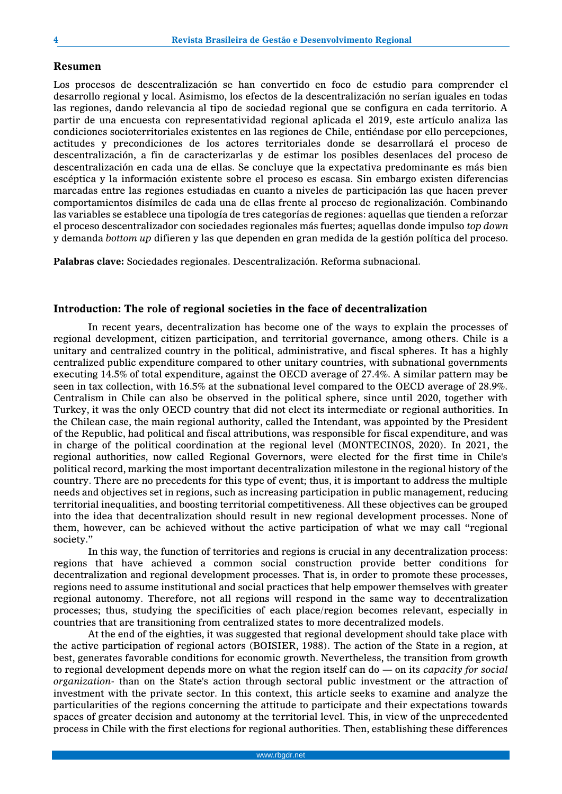## **Resumen**

Los procesos de descentralización se han convertido en foco de estudio para comprender el desarrollo regional y local. Asimismo, los efectos de la descentralización no serían iguales en todas las regiones, dando relevancia al tipo de sociedad regional que se configura en cada territorio. A partir de una encuesta con representatividad regional aplicada el 2019, este artículo analiza las condiciones socioterritoriales existentes en las regiones de Chile, entiéndase por ello percepciones, actitudes y precondiciones de los actores territoriales donde se desarrollará el proceso de descentralización, a fin de caracterizarlas y de estimar los posibles desenlaces del proceso de descentralización en cada una de ellas. Se concluye que la expectativa predominante es más bien escéptica y la información existente sobre el proceso es escasa. Sin embargo existen diferencias marcadas entre las regiones estudiadas en cuanto a niveles de participación las que hacen prever comportamientos disímiles de cada una de ellas frente al proceso de regionalización. Combinando las variables se establece una tipología de tres categorías de regiones: aquellas que tienden a reforzar el proceso descentralizador con sociedades regionales más fuertes; aquellas donde impulso *top down* y demanda *bottom up* difieren y las que dependen en gran medida de la gestión política del proceso.

**Palabras clave:** Sociedades regionales. Descentralización. Reforma subnacional.

## **Introduction: The role of regional societies in the face of decentralization**

In recent years, decentralization has become one of the ways to explain the processes of regional development, citizen participation, and territorial governance, among others. Chile is a unitary and centralized country in the political, administrative, and fiscal spheres. It has a highly centralized public expenditure compared to other unitary countries, with subnational governments executing 14.5% of total expenditure, against the OECD average of 27.4%. A similar pattern may be seen in tax collection, with 16.5% at the subnational level compared to the OECD average of 28.9%. Centralism in Chile can also be observed in the political sphere, since until 2020, together with Turkey, it was the only OECD country that did not elect its intermediate or regional authorities. In the Chilean case, the main regional authority, called the Intendant, was appointed by the President of the Republic, had political and fiscal attributions, was responsible for fiscal expenditure, and was in charge of the political coordination at the regional level (MONTECINOS, 2020). In 2021, the regional authorities, now called Regional Governors, were elected for the first time in Chile's political record, marking the most important decentralization milestone in the regional history of the country. There are no precedents for this type of event; thus, it is important to address the multiple needs and objectives set in regions, such as increasing participation in public management, reducing territorial inequalities, and boosting territorial competitiveness. All these objectives can be grouped into the idea that decentralization should result in new regional development processes. None of them, however, can be achieved without the active participation of what we may call "regional society."

In this way, the function of territories and regions is crucial in any decentralization process: regions that have achieved a common social construction provide better conditions for decentralization and regional development processes. That is, in order to promote these processes, regions need to assume institutional and social practices that help empower themselves with greater regional autonomy. Therefore, not all regions will respond in the same way to decentralization processes; thus, studying the specificities of each place/region becomes relevant, especially in countries that are transitioning from centralized states to more decentralized models.

At the end of the eighties, it was suggested that regional development should take place with the active participation of regional actors (BOISIER, 1988). The action of the State in a region, at best, generates favorable conditions for economic growth. Nevertheless, the transition from growth to regional development depends more on what the region itself can do — on its *capacity for social organization*- than on the State's action through sectoral public investment or the attraction of investment with the private sector. In this context, this article seeks to examine and analyze the particularities of the regions concerning the attitude to participate and their expectations towards spaces of greater decision and autonomy at the territorial level. This, in view of the unprecedented process in Chile with the first elections for regional authorities. Then, establishing these differences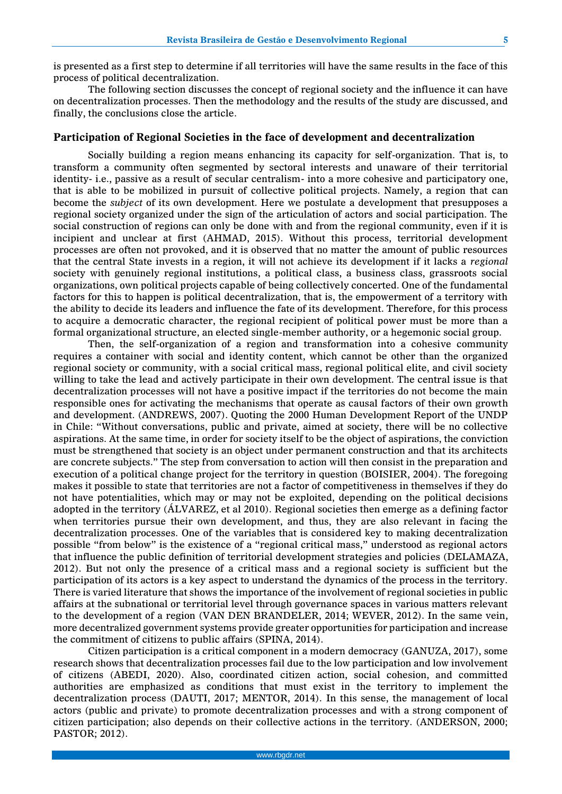is presented as a first step to determine if all territories will have the same results in the face of this process of political decentralization.

The following section discusses the concept of regional society and the influence it can have on decentralization processes. Then the methodology and the results of the study are discussed, and finally, the conclusions close the article.

#### **Participation of Regional Societies in the face of development and decentralization**

Socially building a region means enhancing its capacity for self-organization. That is, to transform a community often segmented by sectoral interests and unaware of their territorial identity- i.e., passive as a result of secular centralism- into a more cohesive and participatory one, that is able to be mobilized in pursuit of collective political projects. Namely, a region that can become the *subject* of its own development. Here we postulate a development that presupposes a regional society organized under the sign of the articulation of actors and social participation. The social construction of regions can only be done with and from the regional community, even if it is incipient and unclear at first (AHMAD, 2015). Without this process, territorial development processes are often not provoked, and it is observed that no matter the amount of public resources that the central State invests in a region, it will not achieve its development if it lacks a *regional*  society with genuinely regional institutions, a political class, a business class, grassroots social organizations, own political projects capable of being collectively concerted. One of the fundamental factors for this to happen is political decentralization, that is, the empowerment of a territory with the ability to decide its leaders and influence the fate of its development. Therefore, for this process to acquire a democratic character, the regional recipient of political power must be more than a formal organizational structure, an elected single-member authority, or a hegemonic social group.

Then, the self-organization of a region and transformation into a cohesive community requires a container with social and identity content, which cannot be other than the organized regional society or community, with a social critical mass, regional political elite, and civil society willing to take the lead and actively participate in their own development. The central issue is that decentralization processes will not have a positive impact if the territories do not become the main responsible ones for activating the mechanisms that operate as causal factors of their own growth and development. (ANDREWS, 2007). Quoting the 2000 Human Development Report of the UNDP in Chile: "Without conversations, public and private, aimed at society, there will be no collective aspirations. At the same time, in order for society itself to be the object of aspirations, the conviction must be strengthened that society is an object under permanent construction and that its architects are concrete subjects." The step from conversation to action will then consist in the preparation and execution of a political change project for the territory in question (BOISIER, 2004). The foregoing makes it possible to state that territories are not a factor of competitiveness in themselves if they do not have potentialities, which may or may not be exploited, depending on the political decisions adopted in the territory (ÁLVAREZ, et al 2010). Regional societies then emerge as a defining factor when territories pursue their own development, and thus, they are also relevant in facing the decentralization processes. One of the variables that is considered key to making decentralization possible "from below" is the existence of a "regional critical mass," understood as regional actors that influence the public definition of territorial development strategies and policies (DELAMAZA, 2012). But not only the presence of a critical mass and a regional society is sufficient but the participation of its actors is a key aspect to understand the dynamics of the process in the territory. There is varied literature that shows the importance of the involvement of regional societies in public affairs at the subnational or territorial level through governance spaces in various matters relevant to the development of a region (VAN DEN BRANDELER, 2014; WEVER, 2012). In the same vein, more decentralized government systems provide greater opportunities for participation and increase the commitment of citizens to public affairs (SPINA, 2014).

Citizen participation is a critical component in a modern democracy (GANUZA, 2017), some research shows that decentralization processes fail due to the low participation and low involvement of citizens (ABEDI, 2020). Also, coordinated citizen action, social cohesion, and committed authorities are emphasized as conditions that must exist in the territory to implement the decentralization process (DAUTI, 2017; MENTOR, 2014). In this sense, the management of local actors (public and private) to promote decentralization processes and with a strong component of citizen participation; also depends on their collective actions in the territory. (ANDERSON, 2000; PASTOR; 2012).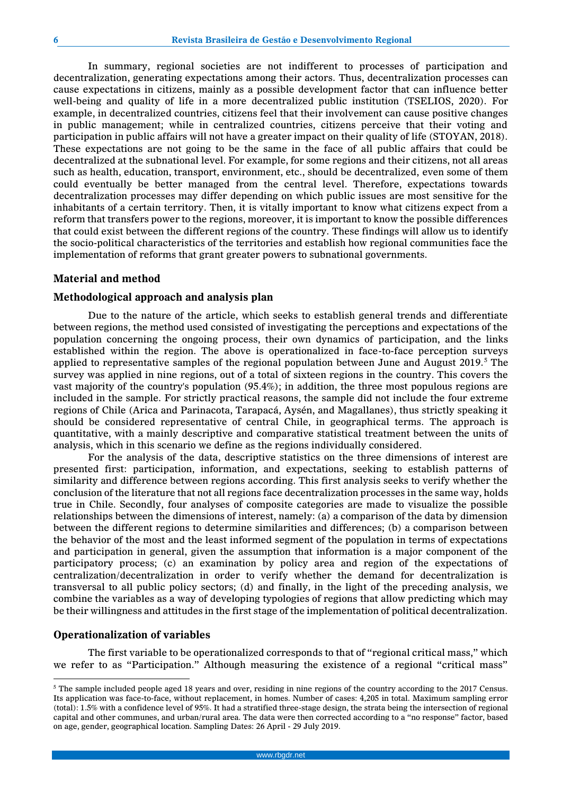In summary, regional societies are not indifferent to processes of participation and decentralization, generating expectations among their actors. Thus, decentralization processes can cause expectations in citizens, mainly as a possible development factor that can influence better well-being and quality of life in a more decentralized public institution (TSELIOS, 2020). For example, in decentralized countries, citizens feel that their involvement can cause positive changes in public management; while in centralized countries, citizens perceive that their voting and participation in public affairs will not have a greater impact on their quality of life (STOYAN, 2018). These expectations are not going to be the same in the face of all public affairs that could be decentralized at the subnational level. For example, for some regions and their citizens, not all areas such as health, education, transport, environment, etc., should be decentralized, even some of them could eventually be better managed from the central level. Therefore, expectations towards decentralization processes may differ depending on which public issues are most sensitive for the inhabitants of a certain territory. Then, it is vitally important to know what citizens expect from a reform that transfers power to the regions, moreover, it is important to know the possible differences that could exist between the different regions of the country. These findings will allow us to identify the socio-political characteristics of the territories and establish how regional communities face the implementation of reforms that grant greater powers to subnational governments.

## **Material and method**

## **Methodological approach and analysis plan**

Due to the nature of the article, which seeks to establish general trends and differentiate between regions, the method used consisted of investigating the perceptions and expectations of the population concerning the ongoing process, their own dynamics of participation, and the links established within the region. The above is operationalized in face-to-face perception surveys applied to representative samples of the regional population between June and August 2019.<sup>5</sup> The survey was applied in nine regions, out of a total of sixteen regions in the country. This covers the vast majority of the country's population (95.4%); in addition, the three most populous regions are included in the sample. For strictly practical reasons, the sample did not include the four extreme regions of Chile (Arica and Parinacota, Tarapacá, Aysén, and Magallanes), thus strictly speaking it should be considered representative of central Chile, in geographical terms. The approach is quantitative, with a mainly descriptive and comparative statistical treatment between the units of analysis, which in this scenario we define as the regions individually considered.

For the analysis of the data, descriptive statistics on the three dimensions of interest are presented first: participation, information, and expectations, seeking to establish patterns of similarity and difference between regions according. This first analysis seeks to verify whether the conclusion of the literature that not all regions face decentralization processes in the same way, holds true in Chile. Secondly, four analyses of composite categories are made to visualize the possible relationships between the dimensions of interest, namely: (a) a comparison of the data by dimension between the different regions to determine similarities and differences; (b) a comparison between the behavior of the most and the least informed segment of the population in terms of expectations and participation in general, given the assumption that information is a major component of the participatory process; (c) an examination by policy area and region of the expectations of centralization/decentralization in order to verify whether the demand for decentralization is transversal to all public policy sectors; (d) and finally, in the light of the preceding analysis, we combine the variables as a way of developing typologies of regions that allow predicting which may be their willingness and attitudes in the first stage of the implementation of political decentralization.

### **Operationalization of variables**

<u>.</u>

The first variable to be operationalized corresponds to that of "regional critical mass," which we refer to as "Participation." Although measuring the existence of a regional "critical mass"

<sup>&</sup>lt;sup>5</sup> The sample included people aged 18 years and over, residing in nine regions of the country according to the 2017 Census. Its application was face-to-face, without replacement, in homes. Number of cases: 4,205 in total. Maximum sampling error (total): 1.5% with a confidence level of 95%. It had a stratified three-stage design, the strata being the intersection of regional capital and other communes, and urban/rural area. The data were then corrected according to a "no response" factor, based on age, gender, geographical location. Sampling Dates: 26 April - 29 July 2019.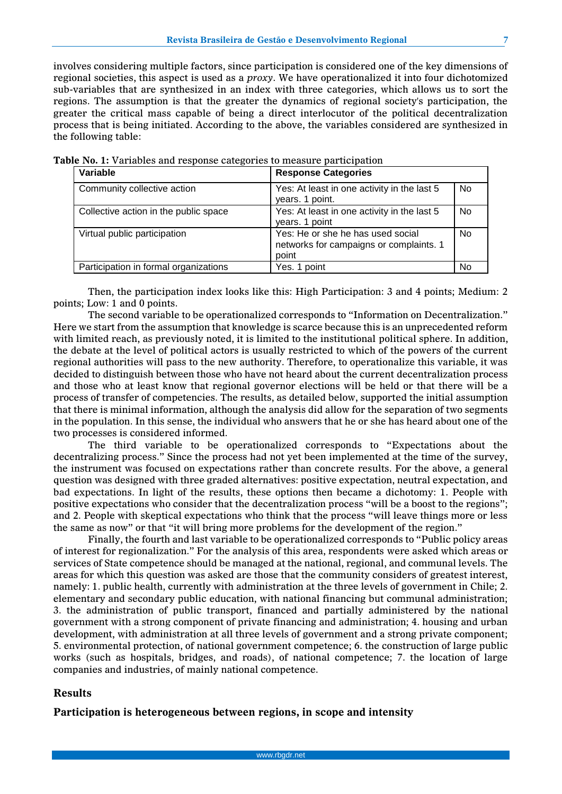involves considering multiple factors, since participation is considered one of the key dimensions of regional societies, this aspect is used as a *proxy*. We have operationalized it into four dichotomized sub-variables that are synthesized in an index with three categories, which allows us to sort the regions. The assumption is that the greater the dynamics of regional society's participation, the greater the critical mass capable of being a direct interlocutor of the political decentralization process that is being initiated. According to the above, the variables considered are synthesized in the following table:

| Variable                              | <b>Response Categories</b>                                                            |           |
|---------------------------------------|---------------------------------------------------------------------------------------|-----------|
| Community collective action           | Yes: At least in one activity in the last 5<br>years. 1 point.                        | <b>No</b> |
| Collective action in the public space | Yes: At least in one activity in the last 5<br>years. 1 point                         | <b>No</b> |
| Virtual public participation          | Yes: He or she he has used social<br>networks for campaigns or complaints. 1<br>point | <b>No</b> |
| Participation in formal organizations | Yes. 1 point                                                                          | No        |

Then, the participation index looks like this: High Participation: 3 and 4 points; Medium: 2 points; Low: 1 and 0 points.

The second variable to be operationalized corresponds to "Information on Decentralization." Here we start from the assumption that knowledge is scarce because this is an unprecedented reform with limited reach, as previously noted, it is limited to the institutional political sphere. In addition, the debate at the level of political actors is usually restricted to which of the powers of the current regional authorities will pass to the new authority. Therefore, to operationalize this variable, it was decided to distinguish between those who have not heard about the current decentralization process and those who at least know that regional governor elections will be held or that there will be a process of transfer of competencies. The results, as detailed below, supported the initial assumption that there is minimal information, although the analysis did allow for the separation of two segments in the population. In this sense, the individual who answers that he or she has heard about one of the two processes is considered informed.

The third variable to be operationalized corresponds to "Expectations about the decentralizing process." Since the process had not yet been implemented at the time of the survey, the instrument was focused on expectations rather than concrete results. For the above, a general question was designed with three graded alternatives: positive expectation, neutral expectation, and bad expectations. In light of the results, these options then became a dichotomy: 1. People with positive expectations who consider that the decentralization process "will be a boost to the regions"; and 2. People with skeptical expectations who think that the process "will leave things more or less the same as now" or that "it will bring more problems for the development of the region."

Finally, the fourth and last variable to be operationalized corresponds to "Public policy areas of interest for regionalization." For the analysis of this area, respondents were asked which areas or services of State competence should be managed at the national, regional, and communal levels. The areas for which this question was asked are those that the community considers of greatest interest, namely: 1. public health, currently with administration at the three levels of government in Chile; 2. elementary and secondary public education, with national financing but communal administration; 3. the administration of public transport, financed and partially administered by the national government with a strong component of private financing and administration; 4. housing and urban development, with administration at all three levels of government and a strong private component; 5. environmental protection, of national government competence; 6. the construction of large public works (such as hospitals, bridges, and roads), of national competence; 7. the location of large companies and industries, of mainly national competence.

#### **Results**

**Participation is heterogeneous between regions, in scope and intensity**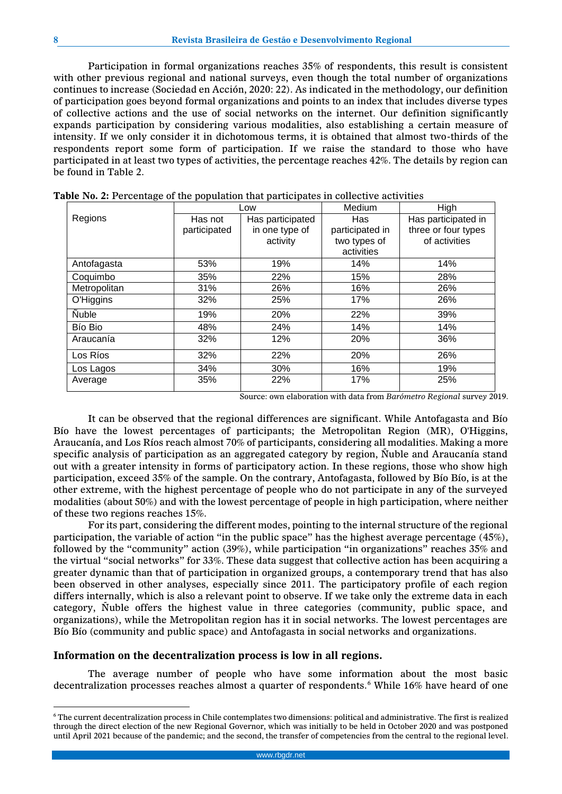Participation in formal organizations reaches 35% of respondents, this result is consistent with other previous regional and national surveys, even though the total number of organizations continues to increase (Sociedad en Acción, 2020: 22). As indicated in the methodology, our definition of participation goes beyond formal organizations and points to an index that includes diverse types of collective actions and the use of social networks on the internet. Our definition significantly expands participation by considering various modalities, also establishing a certain measure of intensity. If we only consider it in dichotomous terms, it is obtained that almost two-thirds of the respondents report some form of participation. If we raise the standard to those who have participated in at least two types of activities, the percentage reaches 42%. The details by region can be found in Table 2.

|              |              | Low              | Medium          | High                |  |
|--------------|--------------|------------------|-----------------|---------------------|--|
| Regions      | Has not      | Has participated | Has             | Has participated in |  |
|              | participated | in one type of   | participated in | three or four types |  |
|              |              | activity         | two types of    | of activities       |  |
|              |              |                  | activities      |                     |  |
| Antofagasta  | 53%          | 19%              | 14%             | 14%                 |  |
| Coquimbo     | 35%          | 22%              | 15%             | 28%                 |  |
| Metropolitan | 31%          | 26%              | 16%             | 26%                 |  |
| O'Higgins    | 32%          | 25%              | 17%             | 26%                 |  |
| <b>Nuble</b> | 19%          | 20%              | 22%             | 39%                 |  |
| Bío Bio      | 48%          | 24%              | 14%             | 14%                 |  |
| Araucanía    | 32%          | 12%              | 20%             | 36%                 |  |
| Los Ríos     | 32%          | 22%              | 20%             | 26%                 |  |
| Los Lagos    | 34%          | 30%              | 16%             | 19%                 |  |
| Average      | 35%          | 22%              | 17%             | 25%                 |  |

|  | Table No. 2: Percentage of the population that participates in collective activities |  |  |  |  |  |  |
|--|--------------------------------------------------------------------------------------|--|--|--|--|--|--|
|--|--------------------------------------------------------------------------------------|--|--|--|--|--|--|

Source: own elaboration with data from *Barómetro Regional* surve*y* 2019.

It can be observed that the regional differences are significant. While Antofagasta and Bío Bío have the lowest percentages of participants; the Metropolitan Region (MR), O'Higgins, Araucanía, and Los Ríos reach almost 70% of participants, considering all modalities. Making a more specific analysis of participation as an aggregated category by region, Ñuble and Araucanía stand out with a greater intensity in forms of participatory action. In these regions, those who show high participation, exceed 35% of the sample. On the contrary, Antofagasta, followed by Bío Bío, is at the other extreme, with the highest percentage of people who do not participate in any of the surveyed modalities (about 50%) and with the lowest percentage of people in high participation, where neither of these two regions reaches 15%.

For its part, considering the different modes, pointing to the internal structure of the regional participation, the variable of action "in the public space" has the highest average percentage (45%), followed by the "community" action (39%), while participation "in organizations" reaches 35% and the virtual "social networks" for 33%. These data suggest that collective action has been acquiring a greater dynamic than that of participation in organized groups, a contemporary trend that has also been observed in other analyses, especially since 2011. The participatory profile of each region differs internally, which is also a relevant point to observe. If we take only the extreme data in each category, Ñuble offers the highest value in three categories (community, public space, and organizations), while the Metropolitan region has it in social networks. The lowest percentages are Bío Bío (community and public space) and Antofagasta in social networks and organizations.

#### **Information on the decentralization process is low in all regions.**

The average number of people who have some information about the most basic decentralization processes reaches almost a quarter of respondents.<sup>6</sup> While 16% have heard of one

<u>.</u>

<sup>6</sup> The current decentralization process in Chile contemplates two dimensions: political and administrative. The first is realized through the direct election of the new Regional Governor, which was initially to be held in October 2020 and was postponed until April 2021 because of the pandemic; and the second, the transfer of competencies from the central to the regional level.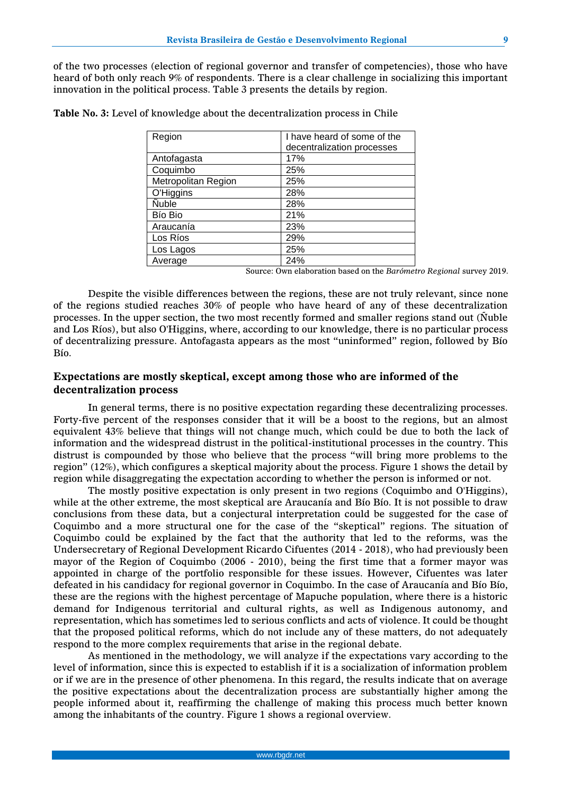of the two processes (election of regional governor and transfer of competencies), those who have heard of both only reach 9% of respondents. There is a clear challenge in socializing this important innovation in the political process. Table 3 presents the details by region.

| Region              | I have heard of some of the |  |  |  |  |
|---------------------|-----------------------------|--|--|--|--|
|                     | decentralization processes  |  |  |  |  |
| Antofagasta         | 17%                         |  |  |  |  |
| Coquimbo            | 25%                         |  |  |  |  |
| Metropolitan Region | 25%                         |  |  |  |  |
| O'Higgins           | 28%                         |  |  |  |  |
| <b>Nuble</b>        | 28%                         |  |  |  |  |
| Bío Bio             | 21%                         |  |  |  |  |
| Araucanía           | 23%                         |  |  |  |  |
| Los Ríos            | 29%                         |  |  |  |  |
| Los Lagos           | 25%                         |  |  |  |  |
| Average             | 24%                         |  |  |  |  |

**Table No. 3:** Level of knowledge about the decentralization process in Chile

Source: Own elaboration based on the *Barómetro Regional* survey 2019.

Despite the visible differences between the regions, these are not truly relevant, since none of the regions studied reaches 30% of people who have heard of any of these decentralization processes. In the upper section, the two most recently formed and smaller regions stand out (Ñuble and Los Ríos), but also O'Higgins, where, according to our knowledge, there is no particular process of decentralizing pressure. Antofagasta appears as the most "uninformed" region, followed by Bío Bío.

# **Expectations are mostly skeptical, except among those who are informed of the decentralization process**

In general terms, there is no positive expectation regarding these decentralizing processes. Forty-five percent of the responses consider that it will be a boost to the regions, but an almost equivalent 43% believe that things will not change much, which could be due to both the lack of information and the widespread distrust in the political-institutional processes in the country. This distrust is compounded by those who believe that the process "will bring more problems to the region" (12%), which configures a skeptical majority about the process. Figure 1 shows the detail by region while disaggregating the expectation according to whether the person is informed or not.

The mostly positive expectation is only present in two regions (Coquimbo and O'Higgins), while at the other extreme, the most skeptical are Araucanía and Bío Bío. It is not possible to draw conclusions from these data, but a conjectural interpretation could be suggested for the case of Coquimbo and a more structural one for the case of the "skeptical" regions. The situation of Coquimbo could be explained by the fact that the authority that led to the reforms, was the Undersecretary of Regional Development Ricardo Cifuentes (2014 - 2018), who had previously been mayor of the Region of Coquimbo (2006 - 2010), being the first time that a former mayor was appointed in charge of the portfolio responsible for these issues. However, Cifuentes was later defeated in his candidacy for regional governor in Coquimbo. In the case of Araucanía and Bío Bío, these are the regions with the highest percentage of Mapuche population, where there is a historic demand for Indigenous territorial and cultural rights, as well as Indigenous autonomy, and representation, which has sometimes led to serious conflicts and acts of violence. It could be thought that the proposed political reforms, which do not include any of these matters, do not adequately respond to the more complex requirements that arise in the regional debate.

As mentioned in the methodology, we will analyze if the expectations vary according to the level of information, since this is expected to establish if it is a socialization of information problem or if we are in the presence of other phenomena. In this regard, the results indicate that on average the positive expectations about the decentralization process are substantially higher among the people informed about it, reaffirming the challenge of making this process much better known among the inhabitants of the country. Figure 1 shows a regional overview.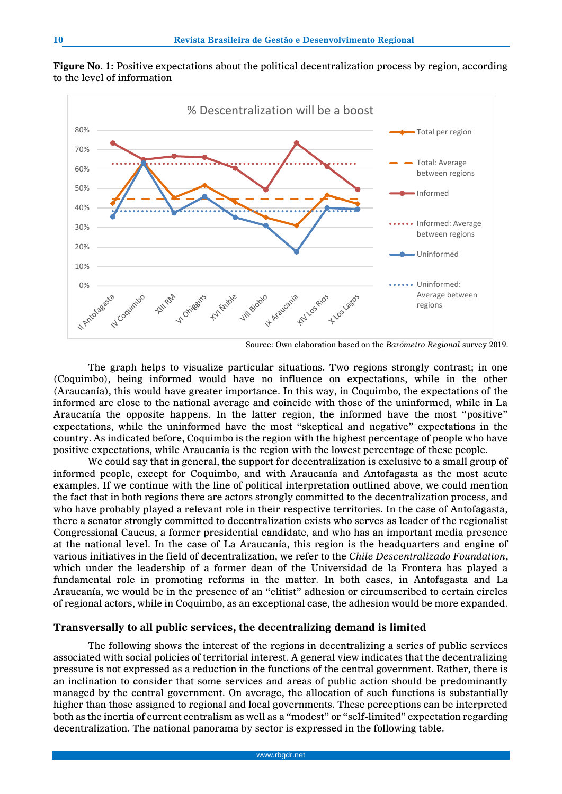

**Figure No. 1:** Positive expectations about the political decentralization process by region, according to the level of information

Source: Own elaboration based on the *Barómetro Regional* survey 2019.

The graph helps to visualize particular situations. Two regions strongly contrast; in one (Coquimbo), being informed would have no influence on expectations, while in the other (Araucanía), this would have greater importance. In this way, in Coquimbo, the expectations of the informed are close to the national average and coincide with those of the uninformed, while in La Araucanía the opposite happens. In the latter region, the informed have the most "positive" expectations, while the uninformed have the most "skeptical and negative" expectations in the country. As indicated before, Coquimbo is the region with the highest percentage of people who have positive expectations, while Araucanía is the region with the lowest percentage of these people.

We could say that in general, the support for decentralization is exclusive to a small group of informed people, except for Coquimbo, and with Araucanía and Antofagasta as the most acute examples. If we continue with the line of political interpretation outlined above, we could mention the fact that in both regions there are actors strongly committed to the decentralization process, and who have probably played a relevant role in their respective territories. In the case of Antofagasta, there a senator strongly committed to decentralization exists who serves as leader of the regionalist Congressional Caucus, a former presidential candidate, and who has an important media presence at the national level. In the case of La Araucanía, this region is the headquarters and engine of various initiatives in the field of decentralization, we refer to the *Chile Descentralizado Foundation*, which under the leadership of a former dean of the Universidad de la Frontera has played a fundamental role in promoting reforms in the matter. In both cases, in Antofagasta and La Araucanía, we would be in the presence of an "elitist" adhesion or circumscribed to certain circles of regional actors, while in Coquimbo, as an exceptional case, the adhesion would be more expanded.

### **Transversally to all public services, the decentralizing demand is limited**

The following shows the interest of the regions in decentralizing a series of public services associated with social policies of territorial interest. A general view indicates that the decentralizing pressure is not expressed as a reduction in the functions of the central government. Rather, there is an inclination to consider that some services and areas of public action should be predominantly managed by the central government. On average, the allocation of such functions is substantially higher than those assigned to regional and local governments. These perceptions can be interpreted both as the inertia of current centralism as well as a "modest" or "self-limited" expectation regarding decentralization. The national panorama by sector is expressed in the following table.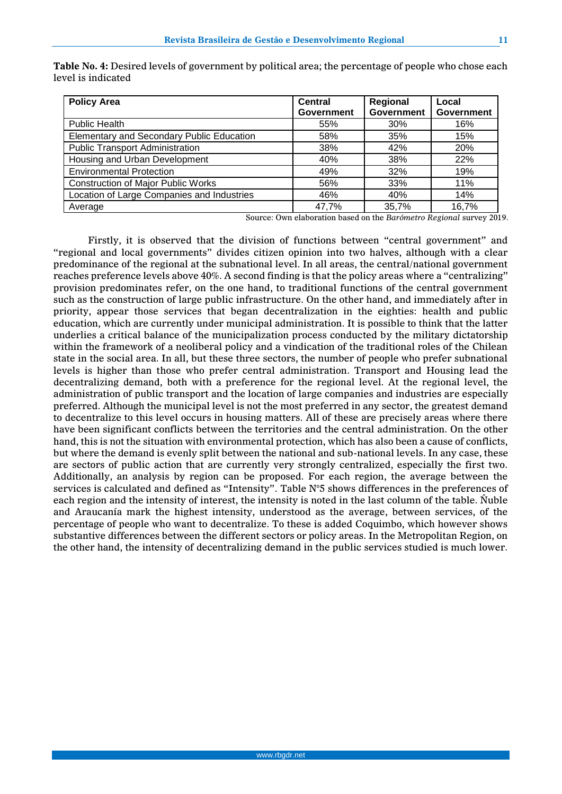| <b>Policy Area</b>                         | <b>Central</b>    | Regional          | Local             |
|--------------------------------------------|-------------------|-------------------|-------------------|
|                                            | <b>Government</b> | <b>Government</b> | <b>Government</b> |
| <b>Public Health</b>                       | 55%               | 30%               | 16%               |
| Elementary and Secondary Public Education  | 58%               | 35%               | 15%               |
| <b>Public Transport Administration</b>     | 38%               | 42%               | <b>20%</b>        |
| Housing and Urban Development              | 40%               | 38%               | 22%               |
| <b>Environmental Protection</b>            | 49%               | 32%               | 19%               |
| <b>Construction of Major Public Works</b>  | 56%               | 33%               | 11%               |
| Location of Large Companies and Industries | 46%               | 40%               | 14%               |
| Average                                    | 47,7%             | 35,7%             | 16,7%             |

**Table No. 4:** Desired levels of government by political area; the percentage of people who chose each level is indicated

Source: Own elaboration based on the *Barómetro Regional* survey 2019.

Firstly, it is observed that the division of functions between "central government" and "regional and local governments" divides citizen opinion into two halves, although with a clear predominance of the regional at the subnational level. In all areas, the central/national government reaches preference levels above 40%. A second finding is that the policy areas where a "centralizing" provision predominates refer, on the one hand, to traditional functions of the central government such as the construction of large public infrastructure. On the other hand, and immediately after in priority, appear those services that began decentralization in the eighties: health and public education, which are currently under municipal administration. It is possible to think that the latter underlies a critical balance of the municipalization process conducted by the military dictatorship within the framework of a neoliberal policy and a vindication of the traditional roles of the Chilean state in the social area. In all, but these three sectors, the number of people who prefer subnational levels is higher than those who prefer central administration. Transport and Housing lead the decentralizing demand, both with a preference for the regional level. At the regional level, the administration of public transport and the location of large companies and industries are especially preferred. Although the municipal level is not the most preferred in any sector, the greatest demand to decentralize to this level occurs in housing matters. All of these are precisely areas where there have been significant conflicts between the territories and the central administration. On the other hand, this is not the situation with environmental protection, which has also been a cause of conflicts, but where the demand is evenly split between the national and sub-national levels. In any case, these are sectors of public action that are currently very strongly centralized, especially the first two. Additionally, an analysis by region can be proposed. For each region, the average between the services is calculated and defined as "Intensity". Table N°5 shows differences in the preferences of each region and the intensity of interest, the intensity is noted in the last column of the table. Ñuble and Araucanía mark the highest intensity, understood as the average, between services, of the percentage of people who want to decentralize. To these is added Coquimbo, which however shows substantive differences between the different sectors or policy areas. In the Metropolitan Region, on the other hand, the intensity of decentralizing demand in the public services studied is much lower.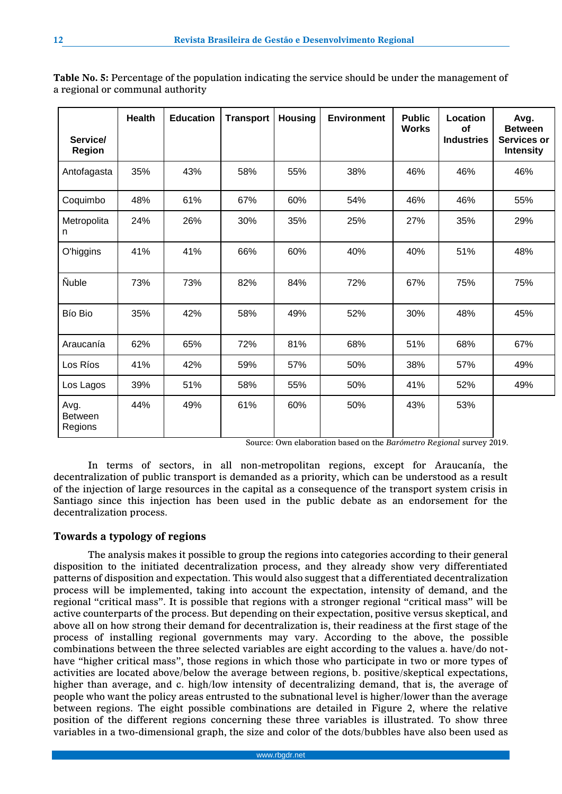| Service/                          | <b>Health</b> | <b>Education</b> | <b>Transport</b> | <b>Housing</b> | <b>Environment</b> | <b>Public</b><br><b>Works</b> | Location<br><b>of</b><br><b>Industries</b> | Avg.<br><b>Between</b><br>Services or |
|-----------------------------------|---------------|------------------|------------------|----------------|--------------------|-------------------------------|--------------------------------------------|---------------------------------------|
| <b>Region</b>                     |               |                  |                  |                |                    |                               |                                            | <b>Intensity</b>                      |
| Antofagasta                       | 35%           | 43%              | 58%              | 55%            | 38%                | 46%                           | 46%                                        | 46%                                   |
| Coquimbo                          | 48%           | 61%              | 67%              | 60%            | 54%                | 46%                           | 46%                                        | 55%                                   |
| Metropolita<br>n                  | 24%           | 26%              | 30%              | 35%            | 25%                | 27%                           | 35%                                        | 29%                                   |
| O'higgins                         | 41%           | 41%              | 66%              | 60%            | 40%                | 40%                           | 51%                                        | 48%                                   |
| <b>Ñuble</b>                      | 73%           | 73%              | 82%              | 84%            | 72%                | 67%                           | 75%                                        | 75%                                   |
| Bío Bio                           | 35%           | 42%              | 58%              | 49%            | 52%                | 30%                           | 48%                                        | 45%                                   |
| Araucanía                         | 62%           | 65%              | 72%              | 81%            | 68%                | 51%                           | 68%                                        | 67%                                   |
| Los Ríos                          | 41%           | 42%              | 59%              | 57%            | 50%                | 38%                           | 57%                                        | 49%                                   |
| Los Lagos                         | 39%           | 51%              | 58%              | 55%            | 50%                | 41%                           | 52%                                        | 49%                                   |
| Avg.<br><b>Between</b><br>Regions | 44%           | 49%              | 61%              | 60%            | 50%                | 43%                           | 53%                                        |                                       |

**Table No. 5:** Percentage of the population indicating the service should be under the management of a regional or communal authority

Source: Own elaboration based on the *Barómetro Regional* survey 2019.

In terms of sectors, in all non-metropolitan regions, except for Araucanía, the decentralization of public transport is demanded as a priority, which can be understood as a result of the injection of large resources in the capital as a consequence of the transport system crisis in Santiago since this injection has been used in the public debate as an endorsement for the decentralization process.

## **Towards a typology of regions**

The analysis makes it possible to group the regions into categories according to their general disposition to the initiated decentralization process, and they already show very differentiated patterns of disposition and expectation. This would also suggest that a differentiated decentralization process will be implemented, taking into account the expectation, intensity of demand, and the regional "critical mass". It is possible that regions with a stronger regional "critical mass" will be active counterparts of the process. But depending on their expectation, positive versus skeptical, and above all on how strong their demand for decentralization is, their readiness at the first stage of the process of installing regional governments may vary. According to the above, the possible combinations between the three selected variables are eight according to the values a. have/do nothave "higher critical mass", those regions in which those who participate in two or more types of activities are located above/below the average between regions, b. positive/skeptical expectations, higher than average, and c. high/low intensity of decentralizing demand, that is, the average of people who want the policy areas entrusted to the subnational level is higher/lower than the average between regions. The eight possible combinations are detailed in Figure 2, where the relative position of the different regions concerning these three variables is illustrated. To show three variables in a two-dimensional graph, the size and color of the dots/bubbles have also been used as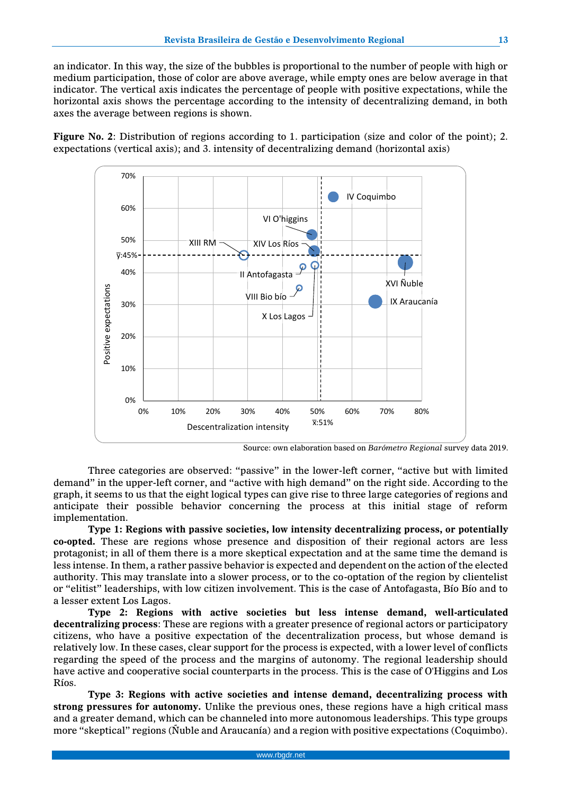an indicator. In this way, the size of the bubbles is proportional to the number of people with high or medium participation, those of color are above average, while empty ones are below average in that indicator. The vertical axis indicates the percentage of people with positive expectations, while the horizontal axis shows the percentage according to the intensity of decentralizing demand, in both axes the average between regions is shown.

**Figure No. 2**: Distribution of regions according to 1. participation (size and color of the point); 2. expectations (vertical axis); and 3. intensity of decentralizing demand (horizontal axis)



Source: own elaboration based on *Barómetro Regional* survey data 2019.

Three categories are observed: "passive" in the lower-left corner, "active but with limited demand" in the upper-left corner, and "active with high demand" on the right side. According to the graph, it seems to us that the eight logical types can give rise to three large categories of regions and anticipate their possible behavior concerning the process at this initial stage of reform implementation.

**Type 1: Regions with passive societies, low intensity decentralizing process, or potentially co-opted.** These are regions whose presence and disposition of their regional actors are less protagonist; in all of them there is a more skeptical expectation and at the same time the demand is less intense. In them, a rather passive behavior is expected and dependent on the action of the elected authority. This may translate into a slower process, or to the co-optation of the region by clientelist or "elitist" leaderships, with low citizen involvement. This is the case of Antofagasta, Bío Bío and to a lesser extent Los Lagos.

**Type 2: Regions with active societies but less intense demand, well-articulated decentralizing process**: These are regions with a greater presence of regional actors or participatory citizens, who have a positive expectation of the decentralization process, but whose demand is relatively low. In these cases, clear support for the process is expected, with a lower level of conflicts regarding the speed of the process and the margins of autonomy. The regional leadership should have active and cooperative social counterparts in the process. This is the case of O'Higgins and Los Ríos.

**Type 3: Regions with active societies and intense demand, decentralizing process with strong pressures for autonomy.** Unlike the previous ones, these regions have a high critical mass and a greater demand, which can be channeled into more autonomous leaderships. This type groups more "skeptical" regions (Ñuble and Araucanía) and a region with positive expectations (Coquimbo).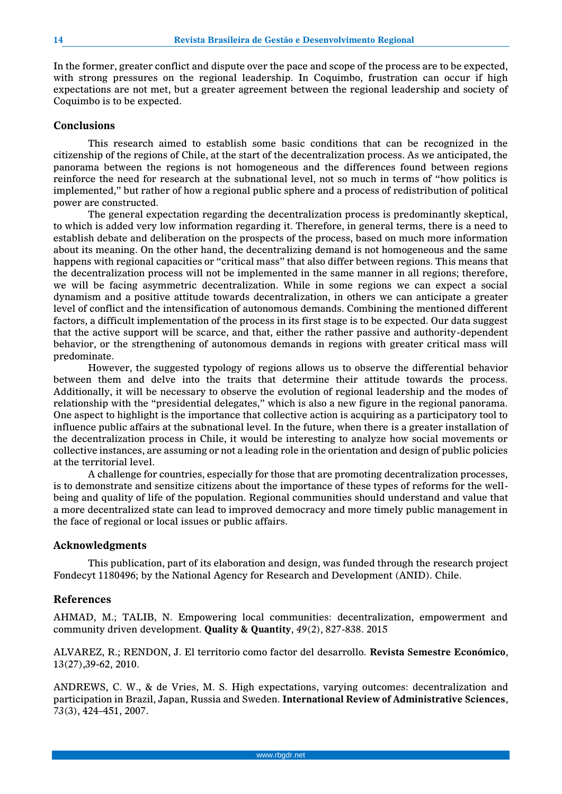In the former, greater conflict and dispute over the pace and scope of the process are to be expected, with strong pressures on the regional leadership. In Coquimbo, frustration can occur if high expectations are not met, but a greater agreement between the regional leadership and society of Coquimbo is to be expected.

### **Conclusions**

This research aimed to establish some basic conditions that can be recognized in the citizenship of the regions of Chile, at the start of the decentralization process. As we anticipated, the panorama between the regions is not homogeneous and the differences found between regions reinforce the need for research at the subnational level, not so much in terms of "how politics is implemented," but rather of how a regional public sphere and a process of redistribution of political power are constructed.

The general expectation regarding the decentralization process is predominantly skeptical, to which is added very low information regarding it. Therefore, in general terms, there is a need to establish debate and deliberation on the prospects of the process, based on much more information about its meaning. On the other hand, the decentralizing demand is not homogeneous and the same happens with regional capacities or "critical mass" that also differ between regions. This means that the decentralization process will not be implemented in the same manner in all regions; therefore, we will be facing asymmetric decentralization. While in some regions we can expect a social dynamism and a positive attitude towards decentralization, in others we can anticipate a greater level of conflict and the intensification of autonomous demands. Combining the mentioned different factors, a difficult implementation of the process in its first stage is to be expected. Our data suggest that the active support will be scarce, and that, either the rather passive and authority-dependent behavior, or the strengthening of autonomous demands in regions with greater critical mass will predominate.

However, the suggested typology of regions allows us to observe the differential behavior between them and delve into the traits that determine their attitude towards the process. Additionally, it will be necessary to observe the evolution of regional leadership and the modes of relationship with the "presidential delegates," which is also a new figure in the regional panorama. One aspect to highlight is the importance that collective action is acquiring as a participatory tool to influence public affairs at the subnational level. In the future, when there is a greater installation of the decentralization process in Chile, it would be interesting to analyze how social movements or collective instances, are assuming or not a leading role in the orientation and design of public policies at the territorial level.

A challenge for countries, especially for those that are promoting decentralization processes, is to demonstrate and sensitize citizens about the importance of these types of reforms for the wellbeing and quality of life of the population. Regional communities should understand and value that a more decentralized state can lead to improved democracy and more timely public management in the face of regional or local issues or public affairs.

#### **Acknowledgments**

This publication, part of its elaboration and design, was funded through the research project Fondecyt 1180496; by the National Agency for Research and Development (ANID). Chile.

## **References**

AHMAD, M.; TALIB, N. Empowering local communities: decentralization, empowerment and community driven development. **Quality & Quantity**, *49*(2), 827-838. 2015

ALVAREZ, R.; RENDON, J. El territorio como factor del desarrollo. **Revista Semestre Económico**, 13(27),39-62, 2010.

ANDREWS, C. W., & de Vries, M. S. High expectations, varying outcomes: decentralization and participation in Brazil, Japan, Russia and Sweden. **International Review of Administrative Sciences**, *73*(3), 424–451, 2007.